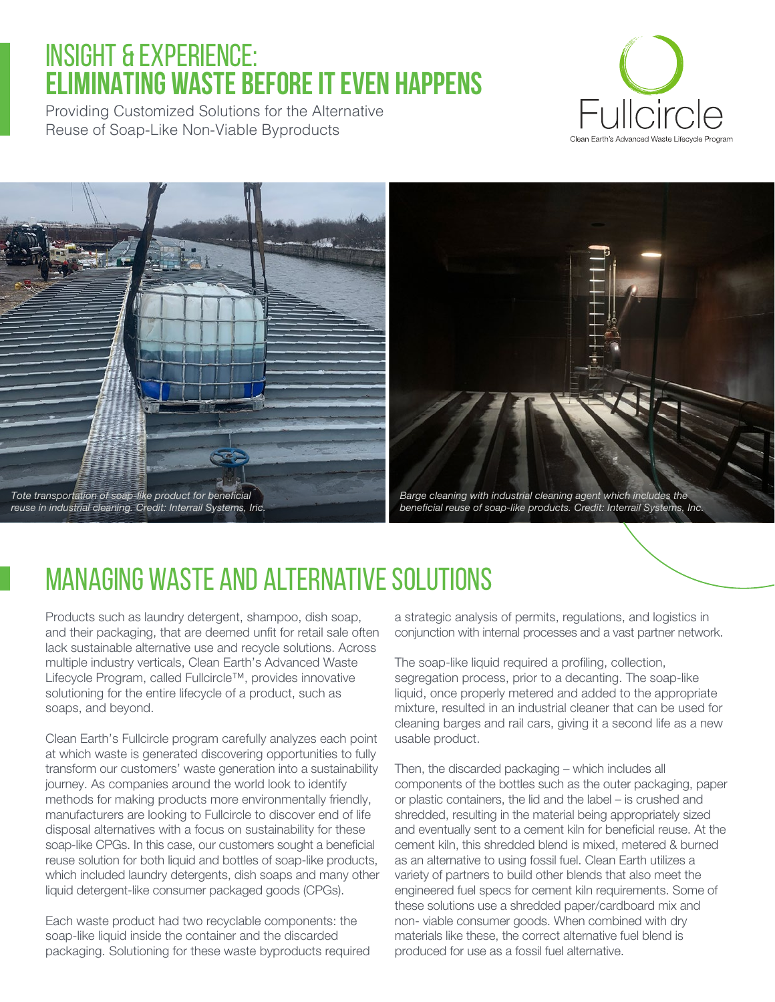# INSIGHT & EXPERIENCE: **ELIMINATING WASTE BEFORE IT EVEN HAPPENS**

Providing Customized Solutions for the Alternative Reuse of Soap-Like Non-Viable Byproducts





# Managing Waste and Alternative Solutions

Products such as laundry detergent, shampoo, dish soap, and their packaging, that are deemed unfit for retail sale often lack sustainable alternative use and recycle solutions. Across multiple industry verticals, Clean Earth's Advanced Waste Lifecycle Program, called Fullcircle™, provides innovative solutioning for the entire lifecycle of a product, such as soaps, and beyond.

Clean Earth's Fullcircle program carefully analyzes each point at which waste is generated discovering opportunities to fully transform our customers' waste generation into a sustainability journey. As companies around the world look to identify methods for making products more environmentally friendly, manufacturers are looking to Fullcircle to discover end of life disposal alternatives with a focus on sustainability for these soap-like CPGs. In this case, our customers sought a beneficial reuse solution for both liquid and bottles of soap-like products, which included laundry detergents, dish soaps and many other liquid detergent-like consumer packaged goods (CPGs).

Each waste product had two recyclable components: the soap-like liquid inside the container and the discarded packaging. Solutioning for these waste byproducts required a strategic analysis of permits, regulations, and logistics in conjunction with internal processes and a vast partner network.

The soap-like liquid required a profiling, collection, segregation process, prior to a decanting. The soap-like liquid, once properly metered and added to the appropriate mixture, resulted in an industrial cleaner that can be used for cleaning barges and rail cars, giving it a second life as a new usable product.

Then, the discarded packaging – which includes all components of the bottles such as the outer packaging, paper or plastic containers, the lid and the label – is crushed and shredded, resulting in the material being appropriately sized and eventually sent to a cement kiln for beneficial reuse. At the cement kiln, this shredded blend is mixed, metered & burned as an alternative to using fossil fuel. Clean Earth utilizes a variety of partners to build other blends that also meet the engineered fuel specs for cement kiln requirements. Some of these solutions use a shredded paper/cardboard mix and non- viable consumer goods. When combined with dry materials like these, the correct alternative fuel blend is produced for use as a fossil fuel alternative.